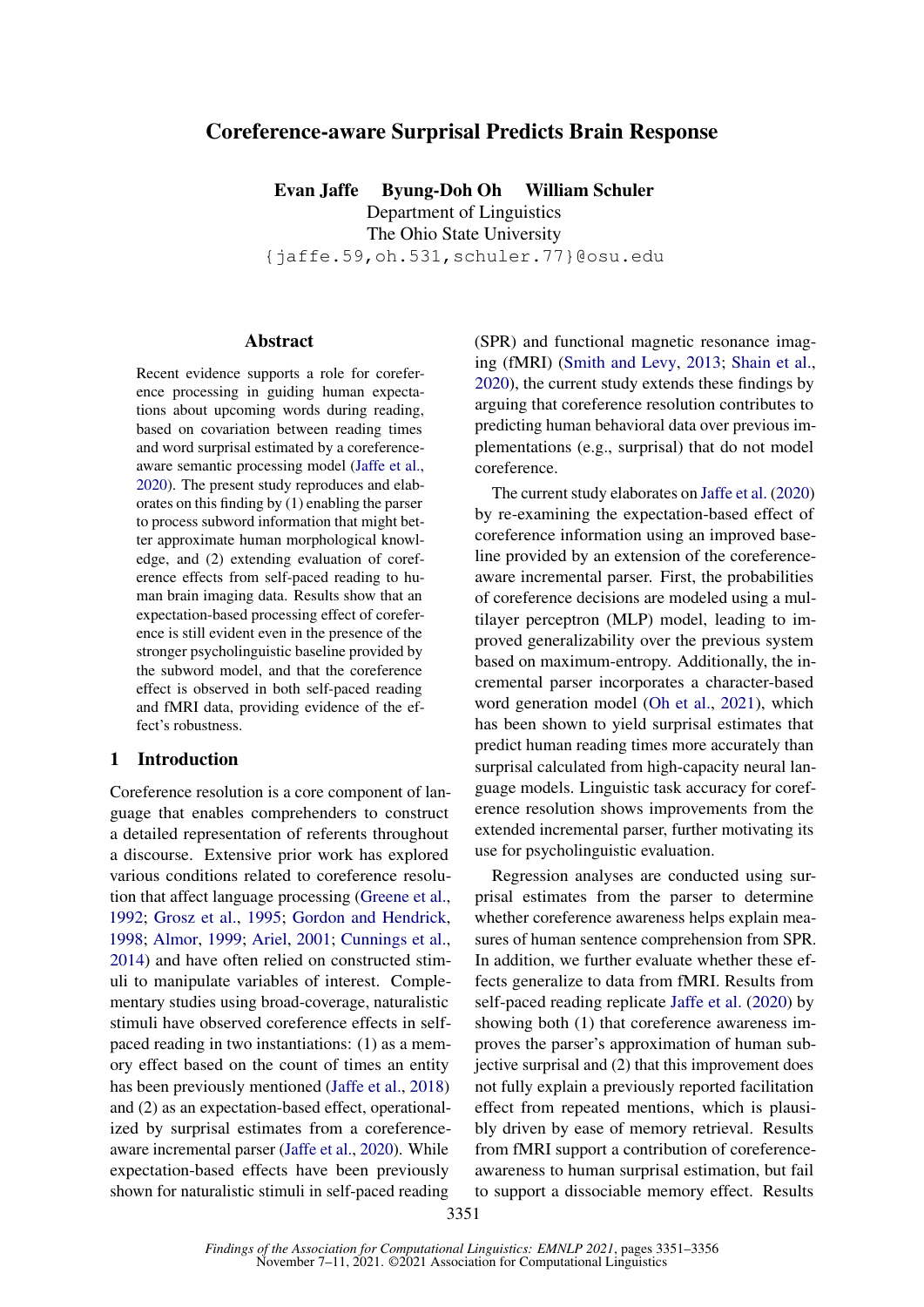# Coreference-aware Surprisal Predicts Brain Response

Evan Jaffe Byung-Doh Oh William Schuler Department of Linguistics The Ohio State University {jaffe.59,oh.531,schuler.77}@osu.edu

### Abstract

Recent evidence supports a role for coreference processing in guiding human expectations about upcoming words during reading, based on covariation between reading times and word surprisal estimated by a coreferenceaware semantic processing model [\(Jaffe et al.,](#page-4-0) [2020\)](#page-4-0). The present study reproduces and elaborates on this finding by (1) enabling the parser to process subword information that might better approximate human morphological knowledge, and (2) extending evaluation of coreference effects from self-paced reading to human brain imaging data. Results show that an expectation-based processing effect of coreference is still evident even in the presence of the stronger psycholinguistic baseline provided by the subword model, and that the coreference effect is observed in both self-paced reading and fMRI data, providing evidence of the effect's robustness.

### 1 Introduction

Coreference resolution is a core component of language that enables comprehenders to construct a detailed representation of referents throughout a discourse. Extensive prior work has explored various conditions related to coreference resolution that affect language processing [\(Greene et al.,](#page-4-1) [1992;](#page-4-1) [Grosz et al.,](#page-4-2) [1995;](#page-4-2) [Gordon and Hendrick,](#page-4-3) [1998;](#page-4-3) [Almor,](#page-4-4) [1999;](#page-4-4) [Ariel,](#page-4-5) [2001;](#page-4-5) [Cunnings et al.,](#page-4-6) [2014\)](#page-4-6) and have often relied on constructed stimuli to manipulate variables of interest. Complementary studies using broad-coverage, naturalistic stimuli have observed coreference effects in selfpaced reading in two instantiations: (1) as a memory effect based on the count of times an entity has been previously mentioned [\(Jaffe et al.,](#page-4-7) [2018\)](#page-4-7) and (2) as an expectation-based effect, operationalized by surprisal estimates from a coreferenceaware incremental parser [\(Jaffe et al.,](#page-4-0) [2020\)](#page-4-0). While expectation-based effects have been previously shown for naturalistic stimuli in self-paced reading

(SPR) and functional magnetic resonance imaging (fMRI) [\(Smith and Levy,](#page-5-0) [2013;](#page-5-0) [Shain et al.,](#page-5-1) [2020\)](#page-5-1), the current study extends these findings by arguing that coreference resolution contributes to predicting human behavioral data over previous implementations (e.g., surprisal) that do not model coreference.

The current study elaborates on [Jaffe et al.](#page-4-0) [\(2020\)](#page-4-0) by re-examining the expectation-based effect of coreference information using an improved baseline provided by an extension of the coreferenceaware incremental parser. First, the probabilities of coreference decisions are modeled using a multilayer perceptron (MLP) model, leading to improved generalizability over the previous system based on maximum-entropy. Additionally, the incremental parser incorporates a character-based word generation model [\(Oh et al.,](#page-5-2) [2021\)](#page-5-2), which has been shown to yield surprisal estimates that predict human reading times more accurately than surprisal calculated from high-capacity neural language models. Linguistic task accuracy for coreference resolution shows improvements from the extended incremental parser, further motivating its use for psycholinguistic evaluation.

Regression analyses are conducted using surprisal estimates from the parser to determine whether coreference awareness helps explain measures of human sentence comprehension from SPR. In addition, we further evaluate whether these effects generalize to data from fMRI. Results from self-paced reading replicate [Jaffe et al.](#page-4-0) [\(2020\)](#page-4-0) by showing both (1) that coreference awareness improves the parser's approximation of human subjective surprisal and (2) that this improvement does not fully explain a previously reported facilitation effect from repeated mentions, which is plausibly driven by ease of memory retrieval. Results from fMRI support a contribution of coreferenceawareness to human surprisal estimation, but fail to support a dissociable memory effect. Results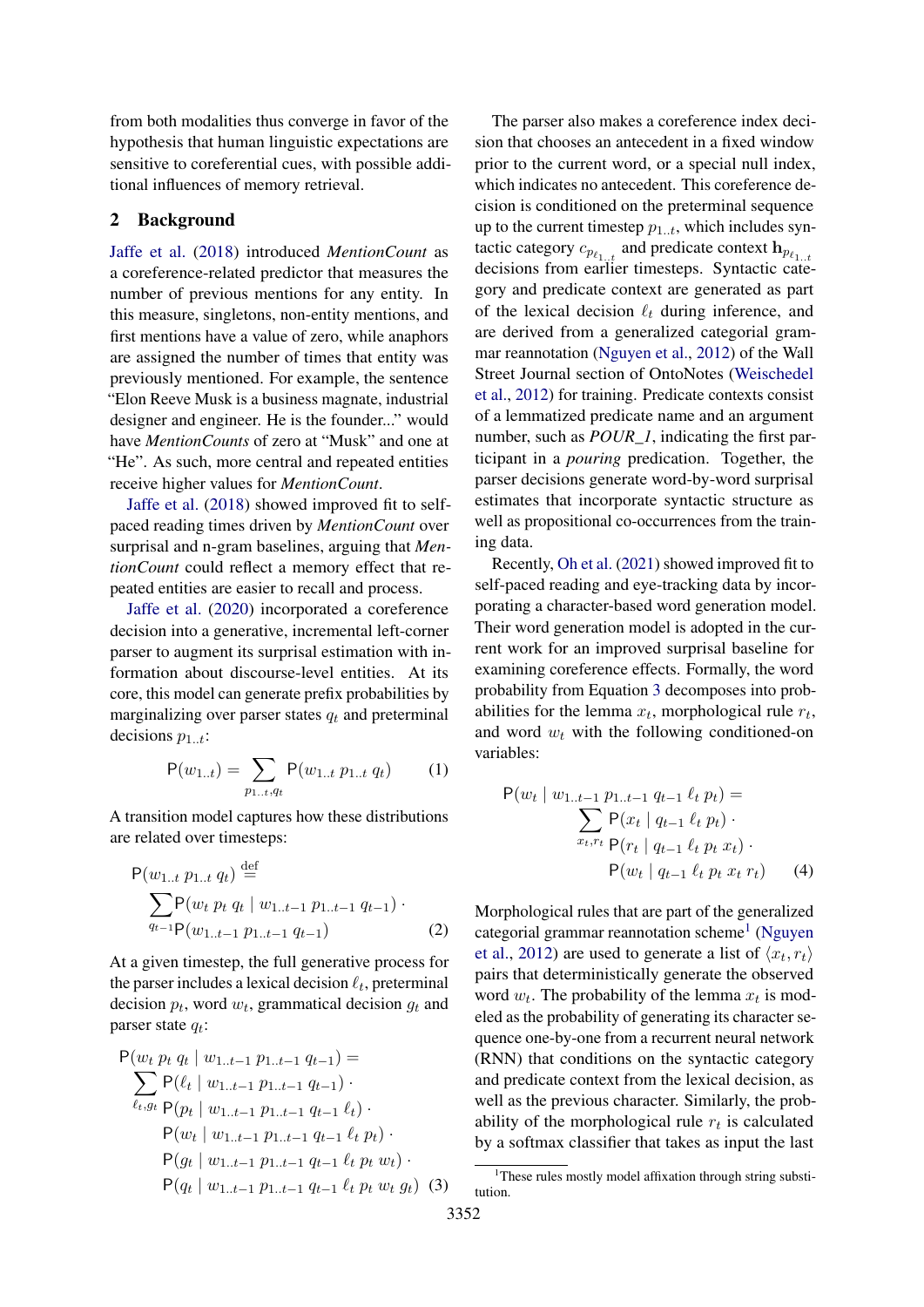from both modalities thus converge in favor of the hypothesis that human linguistic expectations are sensitive to coreferential cues, with possible additional influences of memory retrieval.

# <span id="page-1-2"></span>2 Background

[Jaffe et al.](#page-4-7) [\(2018\)](#page-4-7) introduced *MentionCount* as a coreference-related predictor that measures the number of previous mentions for any entity. In this measure, singletons, non-entity mentions, and first mentions have a value of zero, while anaphors are assigned the number of times that entity was previously mentioned. For example, the sentence "Elon Reeve Musk is a business magnate, industrial designer and engineer. He is the founder..." would have *MentionCounts* of zero at "Musk" and one at "He". As such, more central and repeated entities receive higher values for *MentionCount*.

[Jaffe et al.](#page-4-7) [\(2018\)](#page-4-7) showed improved fit to selfpaced reading times driven by *MentionCount* over surprisal and n-gram baselines, arguing that *MentionCount* could reflect a memory effect that repeated entities are easier to recall and process.

[Jaffe et al.](#page-4-0) [\(2020\)](#page-4-0) incorporated a coreference decision into a generative, incremental left-corner parser to augment its surprisal estimation with information about discourse-level entities. At its core, this model can generate prefix probabilities by marginalizing over parser states  $q_t$  and preterminal decisions  $p_{1..t}$ :

$$
P(w_{1..t}) = \sum_{p_{1..t}, q_t} P(w_{1..t} p_{1..t} q_t)
$$
 (1)

A transition model captures how these distributions are related over timesteps:

$$
P(w_{1..t} p_{1..t} q_t) \stackrel{\text{def}}{=} \sum_{q_{t-1} \in P(w_t p_t q_t \mid w_{1..t-1} p_{1..t-1} q_{t-1})}^{x} \cdot P(w_{t} p_t q_t \mid w_{1..t-1} p_{1..t-1} q_{t-1}) \quad (2)
$$

At a given timestep, the full generative process for the parser includes a lexical decision  $\ell_t$ , preterminal decision  $p_t$ , word  $w_t$ , grammatical decision  $g_t$  and parser state  $q_t$ :

$$
P(w_t p_t q_t | w_{1..t-1} p_{1..t-1} q_{t-1}) =
$$
  
\n
$$
\sum_{\ell_t, g_t} P(\ell_t | w_{1..t-1} p_{1..t-1} q_{t-1})
$$
  
\n
$$
P(p_t | w_{1..t-1} p_{1..t-1} q_{t-1} \ell_t)
$$
  
\n
$$
P(w_t | w_{1..t-1} p_{1..t-1} q_{t-1} \ell_t p_t)
$$
  
\n
$$
P(g_t | w_{1..t-1} p_{1..t-1} q_{t-1} \ell_t p_t w_t)
$$
  
\n
$$
P(q_t | w_{1..t-1} p_{1..t-1} q_{t-1} \ell_t p_t w_t g_t)
$$
 (3)

The parser also makes a coreference index decision that chooses an antecedent in a fixed window prior to the current word, or a special null index, which indicates no antecedent. This coreference decision is conditioned on the preterminal sequence up to the current timestep  $p_{1..t}$ , which includes syntactic category  $c_{p_{\ell_1\dots t}}$  and predicate context  $\mathbf{h}_{p_{\ell_1\dots t}}$ decisions from earlier timesteps. Syntactic category and predicate context are generated as part of the lexical decision  $\ell_t$  during inference, and are derived from a generalized categorial grammar reannotation [\(Nguyen et al.,](#page-5-3) [2012\)](#page-5-3) of the Wall Street Journal section of OntoNotes [\(Weischedel](#page-5-4) [et al.,](#page-5-4) [2012\)](#page-5-4) for training. Predicate contexts consist of a lemmatized predicate name and an argument number, such as *POUR\_1*, indicating the first participant in a *pouring* predication. Together, the parser decisions generate word-by-word surprisal estimates that incorporate syntactic structure as well as propositional co-occurrences from the training data.

Recently, [Oh et al.](#page-5-2) [\(2021\)](#page-5-2) showed improved fit to self-paced reading and eye-tracking data by incorporating a character-based word generation model. Their word generation model is adopted in the current work for an improved surprisal baseline for examining coreference effects. Formally, the word probability from Equation [3](#page-1-0) decomposes into probabilities for the lemma  $x_t$ , morphological rule  $r_t$ , and word  $w_t$  with the following conditioned-on variables:

$$
P(w_t | w_{1..t-1} p_{1..t-1} q_{t-1} \ell_t p_t) =
$$
  
\n
$$
\sum_{x_t, r_t} P(x_t | q_{t-1} \ell_t p_t) \cdot
$$
  
\n
$$
P(r_t | q_{t-1} \ell_t p_t x_t) \cdot
$$
  
\n
$$
P(w_t | q_{t-1} \ell_t p_t x_t r_t) \qquad (4)
$$

Morphological rules that are part of the generalized categorial grammar reannotation scheme<sup>[1](#page-1-1)</sup> [\(Nguyen](#page-5-3) [et al.,](#page-5-3) [2012\)](#page-5-3) are used to generate a list of  $\langle x_t, r_t \rangle$ pairs that deterministically generate the observed word  $w_t$ . The probability of the lemma  $x_t$  is modeled as the probability of generating its character sequence one-by-one from a recurrent neural network (RNN) that conditions on the syntactic category and predicate context from the lexical decision, as well as the previous character. Similarly, the probability of the morphological rule  $r_t$  is calculated by a softmax classifier that takes as input the last

<span id="page-1-1"></span><span id="page-1-0"></span><sup>&</sup>lt;sup>1</sup>These rules mostly model affixation through string substitution.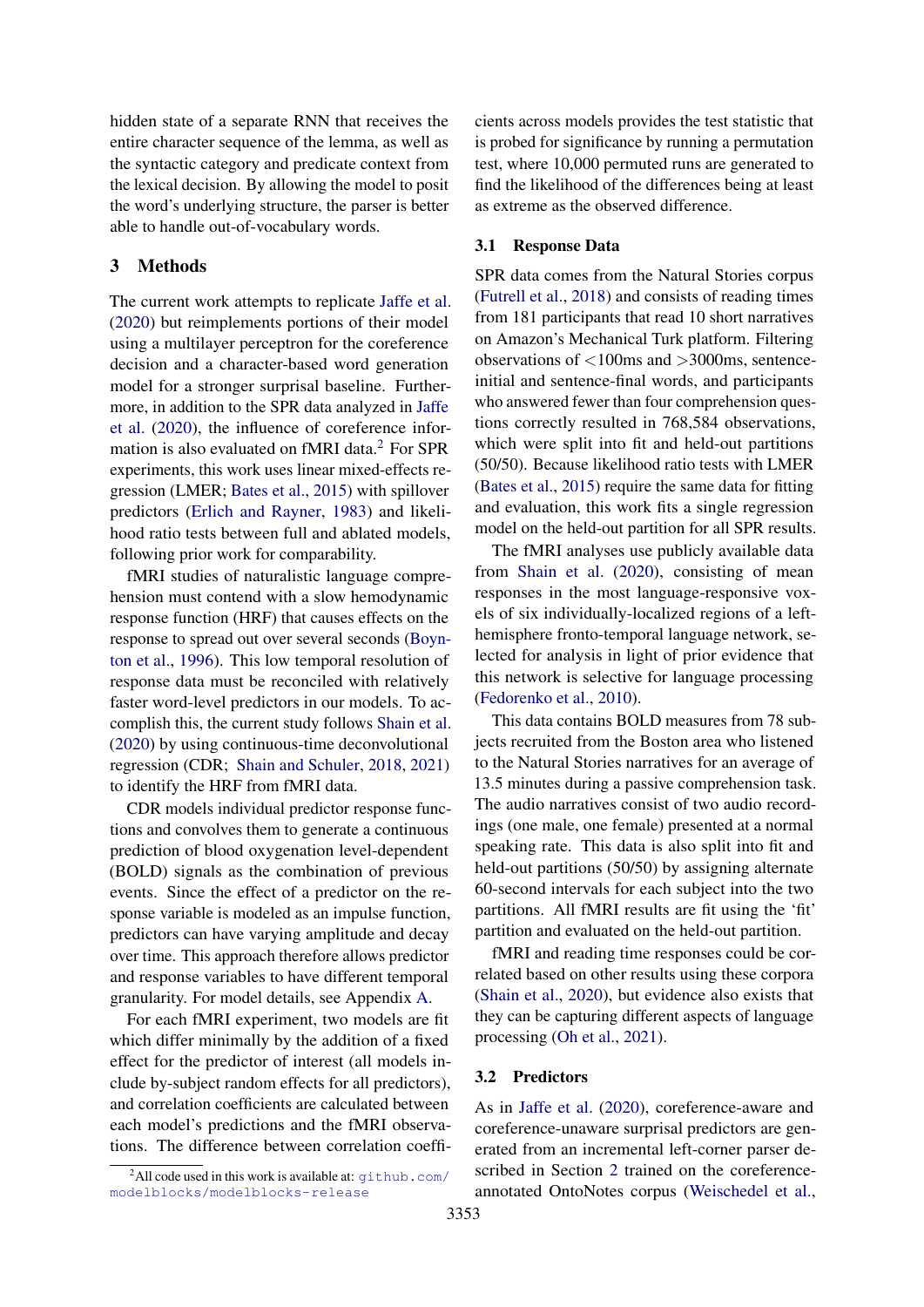hidden state of a separate RNN that receives the entire character sequence of the lemma, as well as the syntactic category and predicate context from the lexical decision. By allowing the model to posit the word's underlying structure, the parser is better able to handle out-of-vocabulary words.

### 3 Methods

The current work attempts to replicate [Jaffe et al.](#page-4-0) [\(2020\)](#page-4-0) but reimplements portions of their model using a multilayer perceptron for the coreference decision and a character-based word generation model for a stronger surprisal baseline. Furthermore, in addition to the SPR data analyzed in [Jaffe](#page-4-0) [et al.](#page-4-0) [\(2020\)](#page-4-0), the influence of coreference information is also evaluated on fMRI data.[2](#page-2-0) For SPR experiments, this work uses linear mixed-effects regression (LMER; [Bates et al.,](#page-4-8) [2015\)](#page-4-8) with spillover predictors [\(Erlich and Rayner,](#page-4-9) [1983\)](#page-4-9) and likelihood ratio tests between full and ablated models, following prior work for comparability.

fMRI studies of naturalistic language comprehension must contend with a slow hemodynamic response function (HRF) that causes effects on the response to spread out over several seconds [\(Boyn](#page-4-10)[ton et al.,](#page-4-10) [1996\)](#page-4-10). This low temporal resolution of response data must be reconciled with relatively faster word-level predictors in our models. To accomplish this, the current study follows [Shain et al.](#page-5-1) [\(2020\)](#page-5-1) by using continuous-time deconvolutional regression (CDR; [Shain and Schuler,](#page-5-5) [2018,](#page-5-5) [2021\)](#page-5-6) to identify the HRF from fMRI data.

CDR models individual predictor response functions and convolves them to generate a continuous prediction of blood oxygenation level-dependent (BOLD) signals as the combination of previous events. Since the effect of a predictor on the response variable is modeled as an impulse function, predictors can have varying amplitude and decay over time. This approach therefore allows predictor and response variables to have different temporal granularity. For model details, see Appendix [A.](#page-5-7)

For each fMRI experiment, two models are fit which differ minimally by the addition of a fixed effect for the predictor of interest (all models include by-subject random effects for all predictors), and correlation coefficients are calculated between each model's predictions and the fMRI observations. The difference between correlation coefficients across models provides the test statistic that is probed for significance by running a permutation test, where 10,000 permuted runs are generated to find the likelihood of the differences being at least as extreme as the observed difference.

#### 3.1 Response Data

SPR data comes from the Natural Stories corpus [\(Futrell et al.,](#page-4-11) [2018\)](#page-4-11) and consists of reading times from 181 participants that read 10 short narratives on Amazon's Mechanical Turk platform. Filtering observations of <100ms and >3000ms, sentenceinitial and sentence-final words, and participants who answered fewer than four comprehension questions correctly resulted in 768,584 observations, which were split into fit and held-out partitions (50/50). Because likelihood ratio tests with LMER [\(Bates et al.,](#page-4-8) [2015\)](#page-4-8) require the same data for fitting and evaluation, this work fits a single regression model on the held-out partition for all SPR results.

The fMRI analyses use publicly available data from [Shain et al.](#page-5-1) [\(2020\)](#page-5-1), consisting of mean responses in the most language-responsive voxels of six individually-localized regions of a lefthemisphere fronto-temporal language network, selected for analysis in light of prior evidence that this network is selective for language processing [\(Fedorenko et al.,](#page-4-12) [2010\)](#page-4-12).

This data contains BOLD measures from 78 subjects recruited from the Boston area who listened to the Natural Stories narratives for an average of 13.5 minutes during a passive comprehension task. The audio narratives consist of two audio recordings (one male, one female) presented at a normal speaking rate. This data is also split into fit and held-out partitions (50/50) by assigning alternate 60-second intervals for each subject into the two partitions. All fMRI results are fit using the 'fit' partition and evaluated on the held-out partition.

fMRI and reading time responses could be correlated based on other results using these corpora [\(Shain et al.,](#page-5-1) [2020\)](#page-5-1), but evidence also exists that they can be capturing different aspects of language processing [\(Oh et al.,](#page-5-2) [2021\)](#page-5-2).

### 3.2 Predictors

As in [Jaffe et al.](#page-4-0) [\(2020\)](#page-4-0), coreference-aware and coreference-unaware surprisal predictors are generated from an incremental left-corner parser described in Section [2](#page-1-2) trained on the coreferenceannotated OntoNotes corpus [\(Weischedel et al.,](#page-5-4)

<span id="page-2-0"></span><sup>&</sup>lt;sup>2</sup>All code used in this work is available at:  $q$ ithub.com/ [modelblocks/modelblocks-release](github.com/modelblocks/modelblocks-release)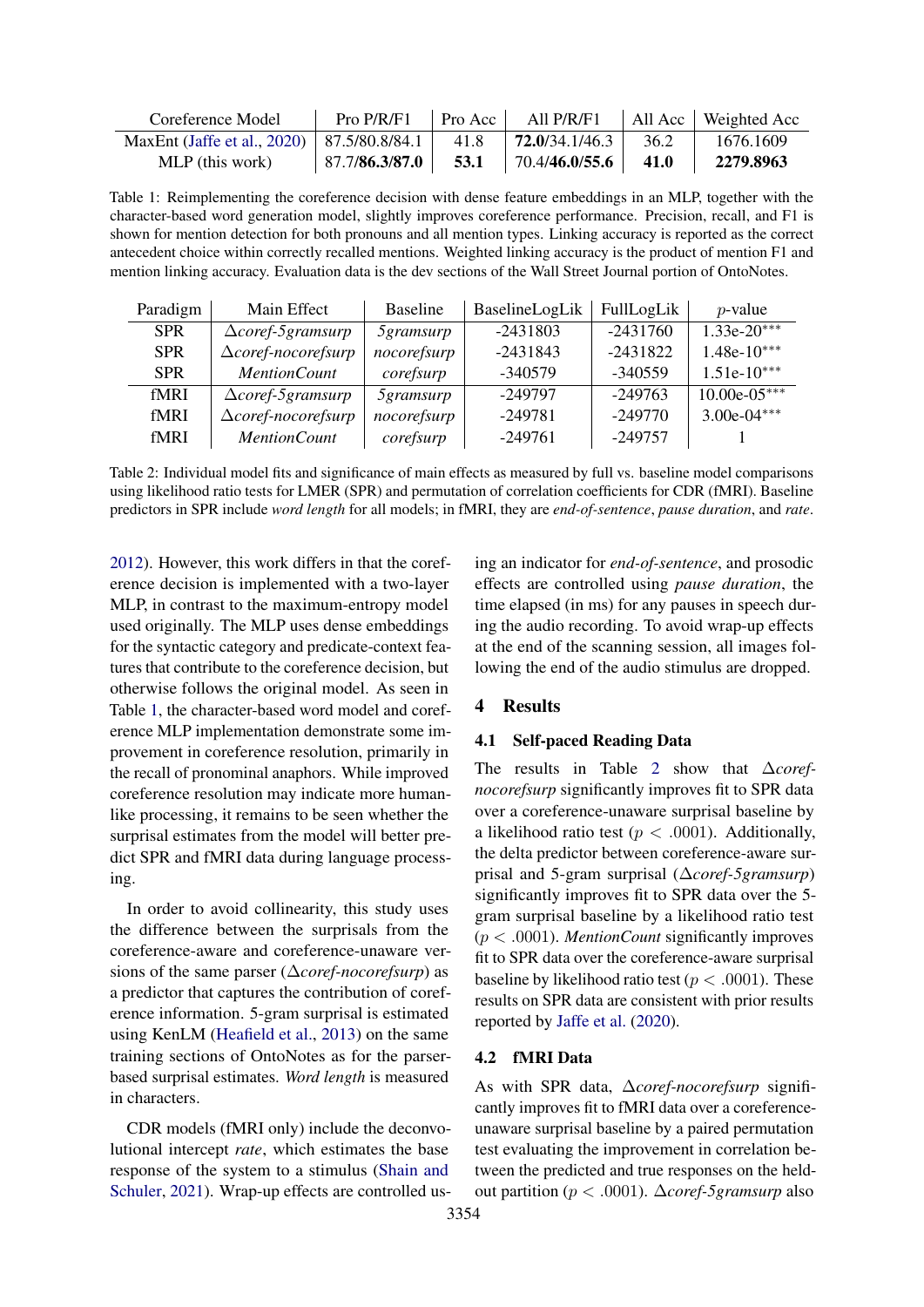<span id="page-3-0"></span>

| Coreference Model                                                            |  | Pro $P/R/F1$   Pro Acc   All $P/R/F1$   All Acc   Weighted Acc          |      |           |
|------------------------------------------------------------------------------|--|-------------------------------------------------------------------------|------|-----------|
| MaxEnt (Jaffe et al., 2020)   87.5/80.8/84.1   41.8   <b>72.0</b> /34.1/46.3 |  |                                                                         | 36.2 | 1676.1609 |
| MLP (this work)                                                              |  | $\vert$ 87.7/86.3/87.0 $\vert$ 53.1 $\vert$ 70.4/46.0/55.6 $\vert$ 41.0 |      | 2279.8963 |

Table 1: Reimplementing the coreference decision with dense feature embeddings in an MLP, together with the character-based word generation model, slightly improves coreference performance. Precision, recall, and F1 is shown for mention detection for both pronouns and all mention types. Linking accuracy is reported as the correct antecedent choice within correctly recalled mentions. Weighted linking accuracy is the product of mention F1 and mention linking accuracy. Evaluation data is the dev sections of the Wall Street Journal portion of OntoNotes.

<span id="page-3-1"></span>

| Paradigm   | Main Effect                    | <b>Baseline</b>  | BaselineLogLik | FullLogLik | $p$ -value     |
|------------|--------------------------------|------------------|----------------|------------|----------------|
| <b>SPR</b> | $\triangle coref-5gram surp$   | <i>Sgramsurp</i> | $-2431803$     | $-2431760$ | $1.33e-20***$  |
| <b>SPR</b> | $\triangle core$ f-nocorefsurp | nocorefsurp      | $-2431843$     | $-2431822$ | $1.48e-10***$  |
| <b>SPR</b> | <b>MentionCount</b>            | corefsurp        | $-340579$      | $-340559$  | $1.51e-10***$  |
| fMRI       | $\triangle coref-5gram surp$   | <i>Sgramsurp</i> | -249797        | $-249763$  | $10.00e-05***$ |
| fMRI       | $\triangle core$ f-nocorefsurp | nocorefsurp      | $-249781$      | $-249770$  | $3.00e-04***$  |
| fMRI       | <b>MentionCount</b>            | corefsurp        | $-249761$      | $-249757$  |                |

Table 2: Individual model fits and significance of main effects as measured by full vs. baseline model comparisons using likelihood ratio tests for LMER (SPR) and permutation of correlation coefficients for CDR (fMRI). Baseline predictors in SPR include *word length* for all models; in fMRI, they are *end-of-sentence*, *pause duration*, and *rate*.

[2012\)](#page-5-4). However, this work differs in that the coreference decision is implemented with a two-layer MLP, in contrast to the maximum-entropy model used originally. The MLP uses dense embeddings for the syntactic category and predicate-context features that contribute to the coreference decision, but otherwise follows the original model. As seen in Table [1,](#page-3-0) the character-based word model and coreference MLP implementation demonstrate some improvement in coreference resolution, primarily in the recall of pronominal anaphors. While improved coreference resolution may indicate more humanlike processing, it remains to be seen whether the surprisal estimates from the model will better predict SPR and fMRI data during language processing.

In order to avoid collinearity, this study uses the difference between the surprisals from the coreference-aware and coreference-unaware versions of the same parser (∆*coref-nocorefsurp*) as a predictor that captures the contribution of coreference information. 5-gram surprisal is estimated using KenLM [\(Heafield et al.,](#page-4-13) [2013\)](#page-4-13) on the same training sections of OntoNotes as for the parserbased surprisal estimates. *Word length* is measured in characters.

CDR models (fMRI only) include the deconvolutional intercept *rate*, which estimates the base response of the system to a stimulus [\(Shain and](#page-5-6) [Schuler,](#page-5-6) [2021\)](#page-5-6). Wrap-up effects are controlled using an indicator for *end-of-sentence*, and prosodic effects are controlled using *pause duration*, the time elapsed (in ms) for any pauses in speech during the audio recording. To avoid wrap-up effects at the end of the scanning session, all images following the end of the audio stimulus are dropped.

## 4 Results

### 4.1 Self-paced Reading Data

The results in Table [2](#page-3-1) show that ∆*corefnocorefsurp* significantly improves fit to SPR data over a coreference-unaware surprisal baseline by a likelihood ratio test ( $p < .0001$ ). Additionally, the delta predictor between coreference-aware surprisal and 5-gram surprisal (∆*coref-5gramsurp*) significantly improves fit to SPR data over the 5 gram surprisal baseline by a likelihood ratio test (p < .0001). *MentionCount* significantly improves fit to SPR data over the coreference-aware surprisal baseline by likelihood ratio test ( $p < .0001$ ). These results on SPR data are consistent with prior results reported by [Jaffe et al.](#page-4-0) [\(2020\)](#page-4-0).

#### 4.2 fMRI Data

As with SPR data, ∆*coref-nocorefsurp* significantly improves fit to fMRI data over a coreferenceunaware surprisal baseline by a paired permutation test evaluating the improvement in correlation between the predicted and true responses on the heldout partition (p < .0001). ∆*coref-5gramsurp* also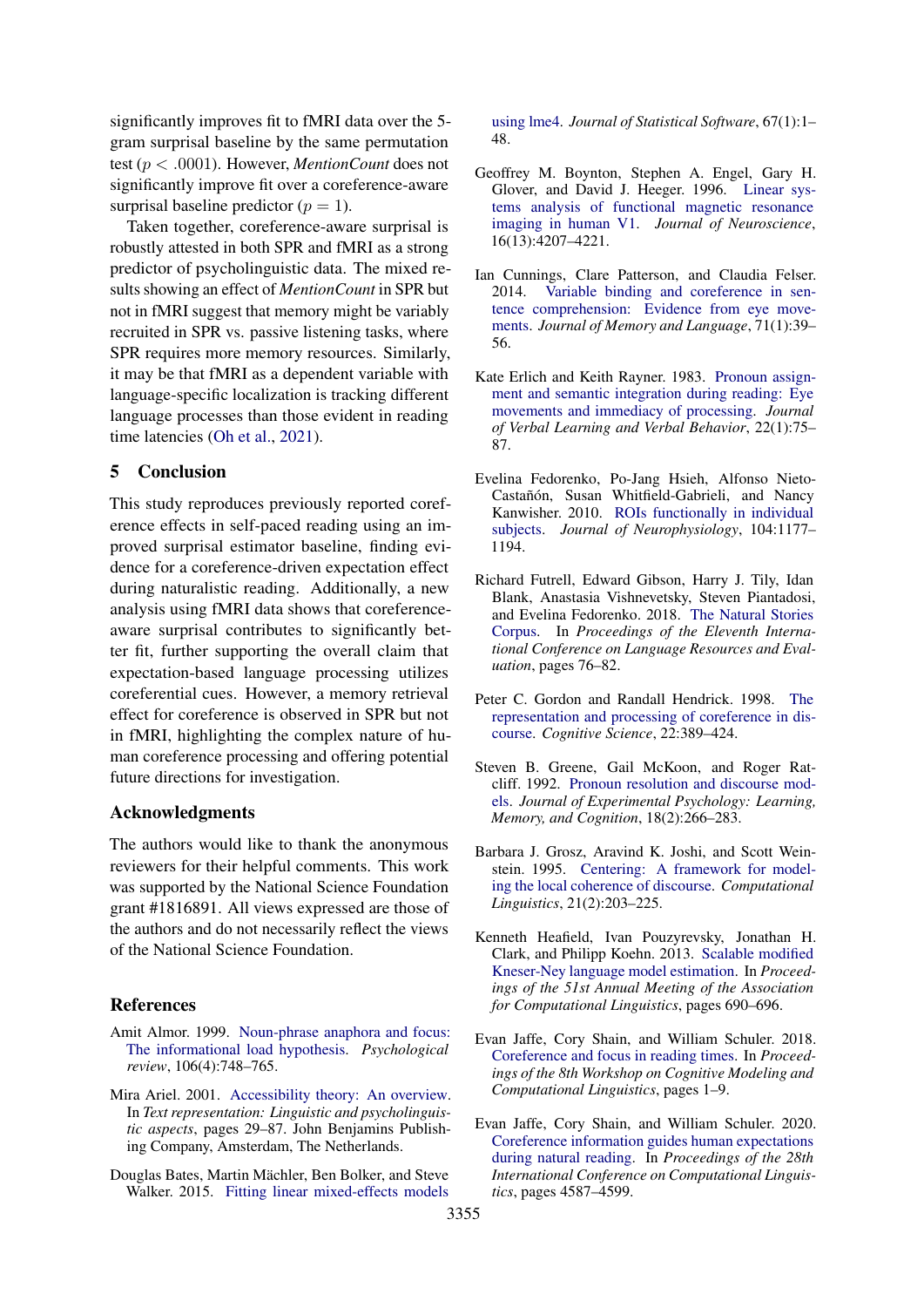significantly improves fit to fMRI data over the 5 gram surprisal baseline by the same permutation test (p < .0001). However, *MentionCount* does not significantly improve fit over a coreference-aware surprisal baseline predictor  $(p = 1)$ .

Taken together, coreference-aware surprisal is robustly attested in both SPR and fMRI as a strong predictor of psycholinguistic data. The mixed results showing an effect of *MentionCount* in SPR but not in fMRI suggest that memory might be variably recruited in SPR vs. passive listening tasks, where SPR requires more memory resources. Similarly, it may be that fMRI as a dependent variable with language-specific localization is tracking different language processes than those evident in reading time latencies [\(Oh et al.,](#page-5-2) [2021\)](#page-5-2).

## 5 Conclusion

This study reproduces previously reported coreference effects in self-paced reading using an improved surprisal estimator baseline, finding evidence for a coreference-driven expectation effect during naturalistic reading. Additionally, a new analysis using fMRI data shows that coreferenceaware surprisal contributes to significantly better fit, further supporting the overall claim that expectation-based language processing utilizes coreferential cues. However, a memory retrieval effect for coreference is observed in SPR but not in fMRI, highlighting the complex nature of human coreference processing and offering potential future directions for investigation.

### Acknowledgments

The authors would like to thank the anonymous reviewers for their helpful comments. This work was supported by the National Science Foundation grant #1816891. All views expressed are those of the authors and do not necessarily reflect the views of the National Science Foundation.

#### References

- <span id="page-4-4"></span>Amit Almor. 1999. [Noun-phrase anaphora and focus:](https://doi.org/10.1037/0033-295X.106.4.748) [The informational load hypothesis.](https://doi.org/10.1037/0033-295X.106.4.748) *Psychological review*, 106(4):748–765.
- <span id="page-4-5"></span>Mira Ariel. 2001. [Accessibility theory: An overview.](http://books.google.com/books?hl=en&lr=&id=P00qNf14IO4C&pgis=1) In *Text representation: Linguistic and psycholinguistic aspects*, pages 29–87. John Benjamins Publishing Company, Amsterdam, The Netherlands.
- <span id="page-4-8"></span>Douglas Bates, Martin Mächler, Ben Bolker, and Steve Walker. 2015. [Fitting linear mixed-effects models](https://doi.org/10.18637/jss.v067.i01)

[using lme4.](https://doi.org/10.18637/jss.v067.i01) *Journal of Statistical Software*, 67(1):1– 48.

- <span id="page-4-10"></span>Geoffrey M. Boynton, Stephen A. Engel, Gary H. Glover, and David J. Heeger. 1996. [Linear sys](https://doi.org/10.1523/JNEUROSCI.16-13-04207.1996)[tems analysis of functional magnetic resonance](https://doi.org/10.1523/JNEUROSCI.16-13-04207.1996) [imaging in human V1.](https://doi.org/10.1523/JNEUROSCI.16-13-04207.1996) *Journal of Neuroscience*, 16(13):4207–4221.
- <span id="page-4-6"></span>Ian Cunnings, Clare Patterson, and Claudia Felser. 2014. [Variable binding and coreference in sen](https://doi.org/10.1016/j.jml.2013.10.001)[tence comprehension: Evidence from eye move](https://doi.org/10.1016/j.jml.2013.10.001)[ments.](https://doi.org/10.1016/j.jml.2013.10.001) *Journal of Memory and Language*, 71(1):39– 56.
- <span id="page-4-9"></span>Kate Erlich and Keith Rayner. 1983. [Pronoun assign](https://doi.org/10.1016/S0022-5371(83)80007-3)[ment and semantic integration during reading: Eye](https://doi.org/10.1016/S0022-5371(83)80007-3) [movements and immediacy of processing.](https://doi.org/10.1016/S0022-5371(83)80007-3) *Journal of Verbal Learning and Verbal Behavior*, 22(1):75– 87.
- <span id="page-4-12"></span>Evelina Fedorenko, Po-Jang Hsieh, Alfonso Nieto-Castañón, Susan Whitfield-Gabrieli, and Nancy Kanwisher. 2010. [ROIs functionally in individual](https://doi.org/10.1152/jn.00032.2010) [subjects.](https://doi.org/10.1152/jn.00032.2010) *Journal of Neurophysiology*, 104:1177– 1194.
- <span id="page-4-11"></span>Richard Futrell, Edward Gibson, Harry J. Tily, Idan Blank, Anastasia Vishnevetsky, Steven Piantadosi, and Evelina Fedorenko. 2018. [The Natural Stories](https://www.aclweb.org/anthology/L18-1012/) [Corpus.](https://www.aclweb.org/anthology/L18-1012/) In *Proceedings of the Eleventh International Conference on Language Resources and Evaluation*, pages 76–82.
- <span id="page-4-3"></span>Peter C. Gordon and Randall Hendrick. 1998. [The](https://doi.org/10.1016/S0364-0213(99)80045-7) [representation and processing of coreference in dis](https://doi.org/10.1016/S0364-0213(99)80045-7)[course.](https://doi.org/10.1016/S0364-0213(99)80045-7) *Cognitive Science*, 22:389–424.
- <span id="page-4-1"></span>Steven B. Greene, Gail McKoon, and Roger Ratcliff. 1992. [Pronoun resolution and discourse mod](https://doi.org/10.1037/0278-7393.18.2.266)[els.](https://doi.org/10.1037/0278-7393.18.2.266) *Journal of Experimental Psychology: Learning, Memory, and Cognition*, 18(2):266–283.
- <span id="page-4-2"></span>Barbara J. Grosz, Aravind K. Joshi, and Scott Weinstein. 1995. [Centering: A framework for model](https://aclanthology.org/J95-2003)[ing the local coherence of discourse.](https://aclanthology.org/J95-2003) *Computational Linguistics*, 21(2):203–225.
- <span id="page-4-13"></span>Kenneth Heafield, Ivan Pouzyrevsky, Jonathan H. Clark, and Philipp Koehn. 2013. [Scalable modified](https://www.aclweb.org/anthology/P13-2121/) [Kneser-Ney language model estimation.](https://www.aclweb.org/anthology/P13-2121/) In *Proceedings of the 51st Annual Meeting of the Association for Computational Linguistics*, pages 690–696.
- <span id="page-4-7"></span>Evan Jaffe, Cory Shain, and William Schuler. 2018. [Coreference and focus in reading times.](https://aclanthology.org/W18-0101) In *Proceedings of the 8th Workshop on Cognitive Modeling and Computational Linguistics*, pages 1–9.
- <span id="page-4-0"></span>Evan Jaffe, Cory Shain, and William Schuler. 2020. [Coreference information guides human expectations](https://aclanthology.org/2020.coling-main.404) [during natural reading.](https://aclanthology.org/2020.coling-main.404) In *Proceedings of the 28th International Conference on Computational Linguistics*, pages 4587–4599.